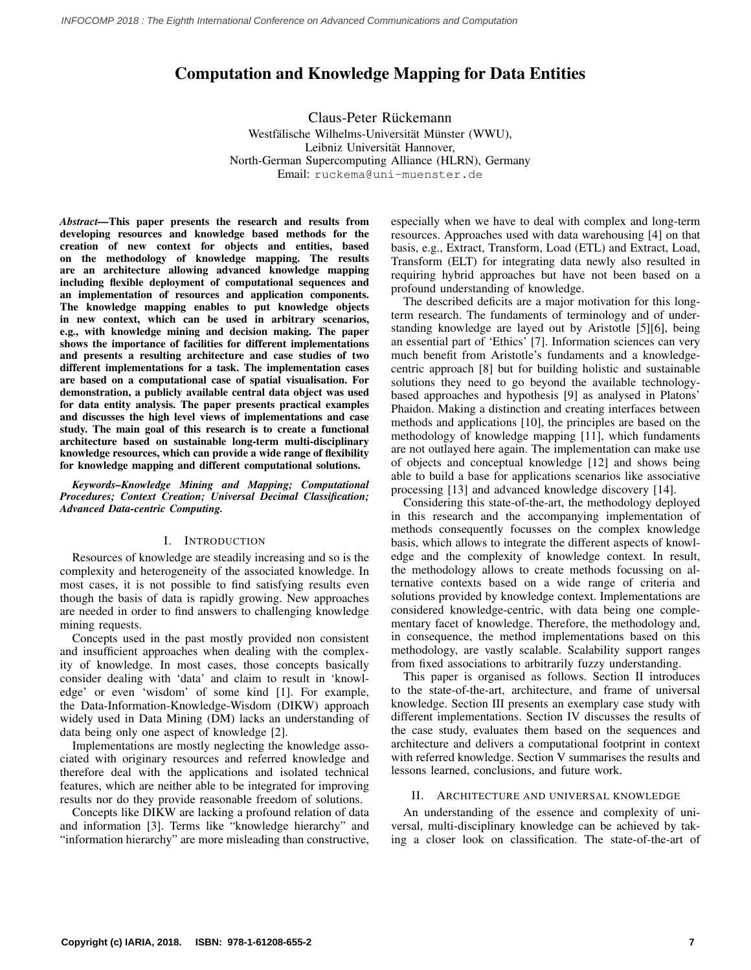# Computation and Knowledge Mapping for Data Entities

Claus-Peter Rückemann Westfälische Wilhelms-Universität Münster (WWU), Leibniz Universität Hannover, North-German Supercomputing Alliance (HLRN), Germany Email: ruckema@uni-muenster.de

*Abstract—*This paper presents the research and results from developing resources and knowledge based methods for the creation of new context for objects and entities, based on the methodology of knowledge mapping. The results are an architecture allowing advanced knowledge mapping including flexible deployment of computational sequences and an implementation of resources and application components. The knowledge mapping enables to put knowledge objects in new context, which can be used in arbitrary scenarios, e.g., with knowledge mining and decision making. The paper shows the importance of facilities for different implementations and presents a resulting architecture and case studies of two different implementations for a task. The implementation cases are based on a computational case of spatial visualisation. For demonstration, a publicly available central data object was used for data entity analysis. The paper presents practical examples and discusses the high level views of implementations and case study. The main goal of this research is to create a functional architecture based on sustainable long-term multi-disciplinary knowledge resources, which can provide a wide range of flexibility for knowledge mapping and different computational solutions.

*Keywords–Knowledge Mining and Mapping; Computational Procedures; Context Creation; Universal Decimal Classification; Advanced Data-centric Computing.*

### I. INTRODUCTION

Resources of knowledge are steadily increasing and so is the complexity and heterogeneity of the associated knowledge. In most cases, it is not possible to find satisfying results even though the basis of data is rapidly growing. New approaches are needed in order to find answers to challenging knowledge mining requests.

Concepts used in the past mostly provided non consistent and insufficient approaches when dealing with the complexity of knowledge. In most cases, those concepts basically consider dealing with 'data' and claim to result in 'knowledge' or even 'wisdom' of some kind [\[1\]](#page-5-0). For example, the Data-Information-Knowledge-Wisdom (DIKW) approach widely used in Data Mining (DM) lacks an understanding of data being only one aspect of knowledge [\[2\]](#page-5-1).

Implementations are mostly neglecting the knowledge associated with originary resources and referred knowledge and therefore deal with the applications and isolated technical features, which are neither able to be integrated for improving results nor do they provide reasonable freedom of solutions.

Concepts like DIKW are lacking a profound relation of data and information [\[3\]](#page-5-2). Terms like "knowledge hierarchy" and "information hierarchy" are more misleading than constructive, especially when we have to deal with complex and long-term resources. Approaches used with data warehousing [\[4\]](#page-5-3) on that basis, e.g., Extract, Transform, Load (ETL) and Extract, Load, Transform (ELT) for integrating data newly also resulted in requiring hybrid approaches but have not been based on a profound understanding of knowledge.

The described deficits are a major motivation for this longterm research. The fundaments of terminology and of understanding knowledge are layed out by Aristotle [\[5\]](#page-5-4)[\[6\]](#page-5-5), being an essential part of 'Ethics' [\[7\]](#page-5-6). Information sciences can very much benefit from Aristotle's fundaments and a knowledgecentric approach [\[8\]](#page-5-7) but for building holistic and sustainable solutions they need to go beyond the available technologybased approaches and hypothesis [\[9\]](#page-5-8) as analysed in Platons' Phaidon. Making a distinction and creating interfaces between methods and applications [\[10\]](#page-5-9), the principles are based on the methodology of knowledge mapping [\[11\]](#page-5-10), which fundaments are not outlayed here again. The implementation can make use of objects and conceptual knowledge [\[12\]](#page-5-11) and shows being able to build a base for applications scenarios like associative processing [\[13\]](#page-5-12) and advanced knowledge discovery [\[14\]](#page-5-13).

Considering this state-of-the-art, the methodology deployed in this research and the accompanying implementation of methods consequently focusses on the complex knowledge basis, which allows to integrate the different aspects of knowledge and the complexity of knowledge context. In result, the methodology allows to create methods focussing on alternative contexts based on a wide range of criteria and solutions provided by knowledge context. Implementations are considered knowledge-centric, with data being one complementary facet of knowledge. Therefore, the methodology and, in consequence, the method implementations based on this methodology, are vastly scalable. Scalability support ranges from fixed associations to arbitrarily fuzzy understanding.

This paper is organised as follows. Section II introduces to the state-of-the-art, architecture, and frame of universal knowledge. Section III presents an exemplary case study with different implementations. Section IV discusses the results of the case study, evaluates them based on the sequences and architecture and delivers a computational footprint in context with referred knowledge. Section V summarises the results and lessons learned, conclusions, and future work.

## II. ARCHITECTURE AND UNIVERSAL KNOWLEDGE

An understanding of the essence and complexity of universal, multi-disciplinary knowledge can be achieved by taking a closer look on classification. The state-of-the-art of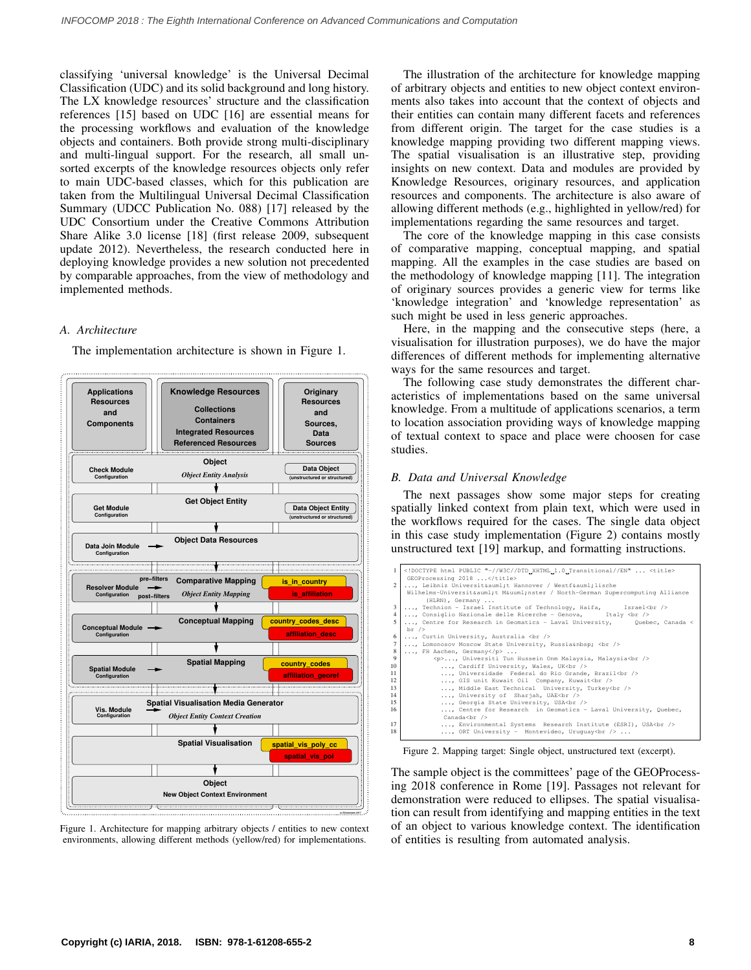classifying 'universal knowledge' is the Universal Decimal Classification (UDC) and its solid background and long history. The LX knowledge resources' structure and the classification references [\[15\]](#page-5-14) based on UDC [\[16\]](#page-5-15) are essential means for the processing workflows and evaluation of the knowledge objects and containers. Both provide strong multi-disciplinary and multi-lingual support. For the research, all small unsorted excerpts of the knowledge resources objects only refer to main UDC-based classes, which for this publication are taken from the Multilingual Universal Decimal Classification Summary (UDCC Publication No. 088) [\[17\]](#page-5-16) released by the UDC Consortium under the Creative Commons Attribution Share Alike 3.0 license [\[18\]](#page-5-17) (first release 2009, subsequent update 2012). Nevertheless, the research conducted here in deploying knowledge provides a new solution not precedented by comparable approaches, from the view of methodology and implemented methods.

# *A. Architecture*

The implementation architecture is shown in Figure [1.](#page-1-0)

<span id="page-1-0"></span>

Figure 1. Architecture for mapping arbitrary objects / entities to new context environments, allowing different methods (yellow/red) for implementations.

The illustration of the architecture for knowledge mapping of arbitrary objects and entities to new object context environments also takes into account that the context of objects and their entities can contain many different facets and references from different origin. The target for the case studies is a knowledge mapping providing two different mapping views. The spatial visualisation is an illustrative step, providing insights on new context. Data and modules are provided by Knowledge Resources, originary resources, and application resources and components. The architecture is also aware of allowing different methods (e.g., highlighted in yellow/red) for implementations regarding the same resources and target.

The core of the knowledge mapping in this case consists of comparative mapping, conceptual mapping, and spatial mapping. All the examples in the case studies are based on the methodology of knowledge mapping [\[11\]](#page-5-10). The integration of originary sources provides a generic view for terms like 'knowledge integration' and 'knowledge representation' as such might be used in less generic approaches.

Here, in the mapping and the consecutive steps (here, a visualisation for illustration purposes), we do have the major differences of different methods for implementing alternative ways for the same resources and target.

The following case study demonstrates the different characteristics of implementations based on the same universal knowledge. From a multitude of applications scenarios, a term to location association providing ways of knowledge mapping of textual context to space and place were choosen for case studies.

## *B. Data and Universal Knowledge*

The next passages show some major steps for creating spatially linked context from plain text, which were used in the workflows required for the cases. The single data object in this case study implementation (Figure [2\)](#page-1-1) contains mostly unstructured text [\[19\]](#page-5-18) markup, and formatting instructions.

<span id="page-1-1"></span>

| $\mathbf{1}$   | DOCTYPE html PUBLIC "-//W3C//DTD_XHTML_1.0_Transitional//EN"  <title    |  |  |  |  |
|----------------|-------------------------------------------------------------------------|--|--|--|--|
|                | GEOProcessing 2018                                                      |  |  |  |  |
| $\mathfrak{D}$ | , Leibniz Universität Hannover / Westfälische                           |  |  |  |  |
|                | Wilhelms-Universität Münster / North-German Supercomputing Alliance     |  |  |  |  |
|                | (HLRN), Germany                                                         |  |  |  |  |
| 3              | , Technion - Israel Institute of Technology, Haifa, Israel<br>          |  |  |  |  |
| 4              |                                                                         |  |  |  |  |
|                | , Consiglio Nazionale delle Ricerche - Genova, Italy<br>>               |  |  |  |  |
| 5              | , Centre for Research in Geomatics - Laval University, Quebec, Canada < |  |  |  |  |
|                | $\text{br}$ />                                                          |  |  |  |  |
| 6              | , Curtin University, Australia<br>                                      |  |  |  |  |
| 7              | , Lomonosov Moscow State University, Russia<br>>                        |  |  |  |  |
| 8              | , FH Aachen, Germany                                                    |  |  |  |  |
| $\mathbf{Q}$   | <p>, Universiti Tun Hussein Onm Malaysia, Malaysia<br/>&gt;</p>         |  |  |  |  |
| 10             | , Cardiff University, Wales, UK<br>                                     |  |  |  |  |
| 11             | , Universidade Federal do Rio Grande, Brazil<br>>                       |  |  |  |  |
| 12             | , GIS unit Kuwait Oil Company, Kuwait<br>                               |  |  |  |  |
| 13             |                                                                         |  |  |  |  |
|                | , Middle East Technical University, Turkey<br>>/                        |  |  |  |  |
| 14             | , University of Sharjah, UAE<br>>                                       |  |  |  |  |
| 15             | , Georgia State University, USA<br>>                                    |  |  |  |  |
| 16             | , Centre for Research in Geomatics - Laval University, Quebec,          |  |  |  |  |
|                | Canada<br>                                                              |  |  |  |  |
| 17             | , Environmental Systems Research Institute (ESRI), USA<br>> />          |  |  |  |  |
| 18             | , ORT University - Montevideo, Uruquay<br>                              |  |  |  |  |
|                |                                                                         |  |  |  |  |

Figure 2. Mapping target: Single object, unstructured text (excerpt).

The sample object is the committees' page of the GEOProcessing 2018 conference in Rome [\[19\]](#page-5-18). Passages not relevant for demonstration were reduced to ellipses. The spatial visualisation can result from identifying and mapping entities in the text of an object to various knowledge context. The identification of entities is resulting from automated analysis.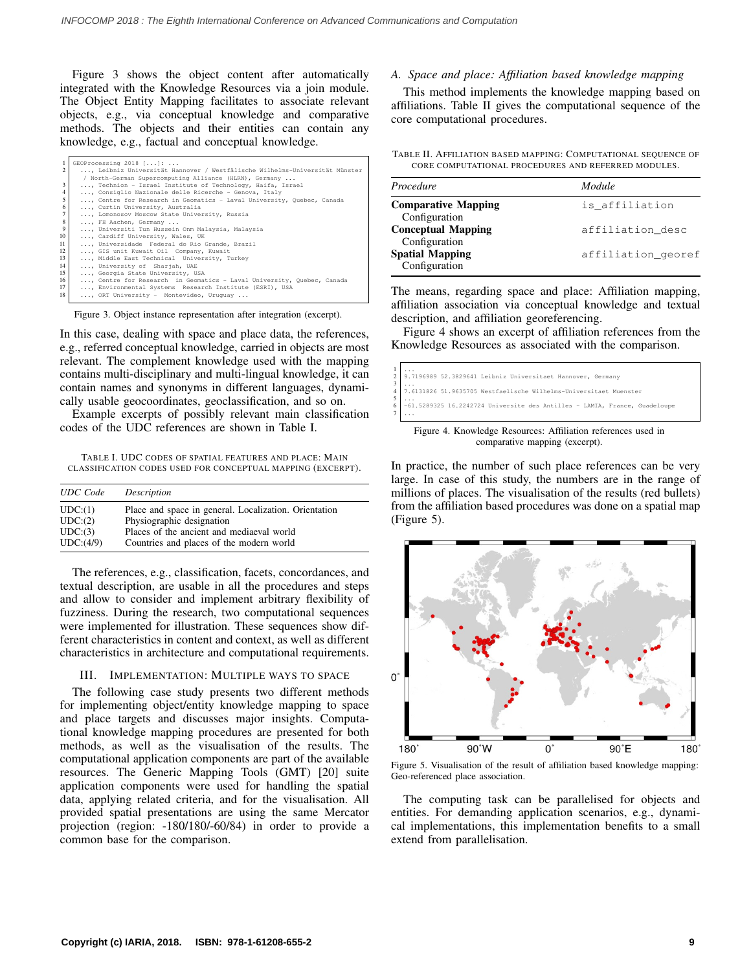Figure [3](#page-2-0) shows the object content after automatically integrated with the Knowledge Resources via a join module. The Object Entity Mapping facilitates to associate relevant objects, e.g., via conceptual knowledge and comparative methods. The objects and their entities can contain any knowledge, e.g., factual and conceptual knowledge.

<span id="page-2-0"></span>

| 1                | GEOProcessing 2018 []:                                                   |  |  |  |
|------------------|--------------------------------------------------------------------------|--|--|--|
| $\mathfrak{D}$   | Leibniz Universität Hannover / Westfälische Wilhelms-Universität Münster |  |  |  |
|                  | / North-German Supercomputing Alliance (HLRN), Germany                   |  |  |  |
| $\mathbf{3}$     | , Technion - Israel Institute of Technology, Haifa, Israel               |  |  |  |
| $\overline{4}$   | , Consiglio Nazionale delle Ricerche - Genova, Italy                     |  |  |  |
| 5                | , Centre for Research in Geomatics - Laval University, Quebec, Canada    |  |  |  |
| 6                | , Curtin University, Australia                                           |  |  |  |
| $\overline{7}$   | , Lomonosov Moscow State University, Russia                              |  |  |  |
| $\boldsymbol{8}$ | , FH Aachen, Germany                                                     |  |  |  |
| 9                | , Universiti Tun Hussein Onm Malaysia, Malaysia                          |  |  |  |
| 10               | , Cardiff University, Wales, UK                                          |  |  |  |
| 11               | , Universidade Federal do Rio Grande, Brazil                             |  |  |  |
| 12               | , GIS unit Kuwait Oil Company, Kuwait                                    |  |  |  |
| 13               | , Middle East Technical University, Turkey                               |  |  |  |
| 14               | , University of Sharjah, UAE                                             |  |  |  |
| 15               | , Georgia State University, USA                                          |  |  |  |
| 16               | , Centre for Research in Geomatics - Laval University, Quebec, Canada    |  |  |  |
| 17               | , Environmental Systems Research Institute (ESRI), USA                   |  |  |  |
| 18               | , ORT University - Montevideo, Uruquay                                   |  |  |  |
|                  |                                                                          |  |  |  |

Figure 3. Object instance representation after integration (excerpt).

In this case, dealing with space and place data, the references, e.g., referred conceptual knowledge, carried in objects are most relevant. The complement knowledge used with the mapping contains multi-disciplinary and multi-lingual knowledge, it can contain names and synonyms in different languages, dynamically usable geocoordinates, geoclassification, and so on.

Example excerpts of possibly relevant main classification codes of the UDC references are shown in Table [I.](#page-2-1)

<span id="page-2-1"></span>TABLE I. UDC CODES OF SPATIAL FEATURES AND PLACE: MAIN CLASSIFICATION CODES USED FOR CONCEPTUAL MAPPING (EXCERPT).

| <b>UDC</b> Code | Description                                           |
|-----------------|-------------------------------------------------------|
| UDC: (1)        | Place and space in general. Localization. Orientation |
| UDC:(2)         | Physiographic designation                             |
| UDC:(3)         | Places of the ancient and mediaeval world             |
| UDC:(4/9)       | Countries and places of the modern world              |

The references, e.g., classification, facets, concordances, and textual description, are usable in all the procedures and steps and allow to consider and implement arbitrary flexibility of fuzziness. During the research, two computational sequences were implemented for illustration. These sequences show different characteristics in content and context, as well as different characteristics in architecture and computational requirements.

### III. IMPLEMENTATION: MULTIPLE WAYS TO SPACE

The following case study presents two different methods for implementing object/entity knowledge mapping to space and place targets and discusses major insights. Computational knowledge mapping procedures are presented for both methods, as well as the visualisation of the results. The computational application components are part of the available resources. The Generic Mapping Tools (GMT) [\[20\]](#page-5-19) suite application components were used for handling the spatial data, applying related criteria, and for the visualisation. All provided spatial presentations are using the same Mercator projection (region: -180/180/-60/84) in order to provide a common base for the comparison.

# *A. Space and place: Affiliation based knowledge mapping*

This method implements the knowledge mapping based on affiliations. Table [II](#page-2-2) gives the computational sequence of the core computational procedures.

<span id="page-2-2"></span>TABLE II. AFFILIATION BASED MAPPING: COMPUTATIONAL SEQUENCE OF CORE COMPUTATIONAL PROCEDURES AND REFERRED MODULES.

| Procedure                                   | Module             |
|---------------------------------------------|--------------------|
| <b>Comparative Mapping</b><br>Configuration | is affiliation     |
| <b>Conceptual Mapping</b>                   | affiliation desc   |
| Configuration<br><b>Spatial Mapping</b>     | affiliation_georef |
| Configuration                               |                    |

The means, regarding space and place: Affiliation mapping, affiliation association via conceptual knowledge and textual description, and affiliation georeferencing.

Figure [4](#page-2-3) shows an excerpt of affiliation references from the Knowledge Resources as associated with the comparison.

<span id="page-2-3"></span>

Figure 4. Knowledge Resources: Affiliation references used in comparative mapping (excerpt).

In practice, the number of such place references can be very large. In case of this study, the numbers are in the range of millions of places. The visualisation of the results (red bullets) from the affiliation based procedures was done on a spatial map (Figure [5\)](#page-2-4).

<span id="page-2-4"></span>

Figure 5. Visualisation of the result of affiliation based knowledge mapping: Geo-referenced place association.

The computing task can be parallelised for objects and entities. For demanding application scenarios, e.g., dynamical implementations, this implementation benefits to a small extend from parallelisation.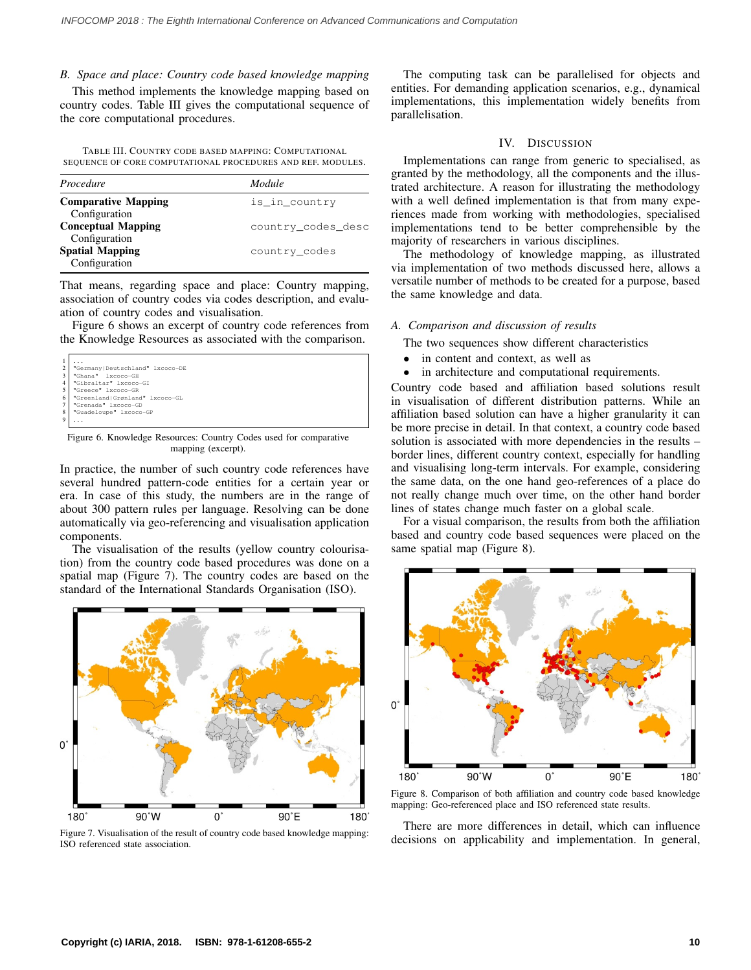## *B. Space and place: Country code based knowledge mapping*

This method implements the knowledge mapping based on country codes. Table [III](#page-3-0) gives the computational sequence of the core computational procedures.

<span id="page-3-0"></span>TABLE III. COUNTRY CODE BASED MAPPING: COMPUTATIONAL SEQUENCE OF CORE COMPUTATIONAL PROCEDURES AND REF. MODULES.

| Procedure                                  | Module             |
|--------------------------------------------|--------------------|
| <b>Comparative Mapping</b>                 | is in country      |
| Configuration<br><b>Conceptual Mapping</b> | country_codes_desc |
| Configuration<br><b>Spatial Mapping</b>    | country_codes      |
| Configuration                              |                    |

That means, regarding space and place: Country mapping, association of country codes via codes description, and evaluation of country codes and visualisation.

Figure [6](#page-3-1) shows an excerpt of country code references from the Knowledge Resources as associated with the comparison.

<span id="page-3-1"></span>

| $\mathbf{1}$   | .                                 |
|----------------|-----------------------------------|
| 2 <sup>1</sup> | "Germany   Deutschland" lxcoco-DE |
| 3              | "Ghana" lxcoco-GH                 |
| $\overline{4}$ | "Gibraltar" 1xcoco-GI             |
| 5 <sup>1</sup> | "Greece" lxcoco-GR                |
| 6              | "Greenland Grønland" lxcoco-GL    |
| 7 <sub>1</sub> | "Grenada" lxcoco-GD               |
| 8              | "Guadeloupe" lxcoco-GP            |
| 9              | .                                 |
|                |                                   |

Figure 6. Knowledge Resources: Country Codes used for comparative mapping (excerpt).

In practice, the number of such country code references have several hundred pattern-code entities for a certain year or era. In case of this study, the numbers are in the range of about 300 pattern rules per language. Resolving can be done automatically via geo-referencing and visualisation application components.

The visualisation of the results (yellow country colourisation) from the country code based procedures was done on a spatial map (Figure [7\)](#page-3-2). The country codes are based on the standard of the International Standards Organisation (ISO).

<span id="page-3-2"></span>

Figure 7. Visualisation of the result of country code based knowledge mapping: ISO referenced state association.

The computing task can be parallelised for objects and entities. For demanding application scenarios, e.g., dynamical implementations, this implementation widely benefits from parallelisation.

## IV. DISCUSSION

Implementations can range from generic to specialised, as granted by the methodology, all the components and the illustrated architecture. A reason for illustrating the methodology with a well defined implementation is that from many experiences made from working with methodologies, specialised implementations tend to be better comprehensible by the majority of researchers in various disciplines.

The methodology of knowledge mapping, as illustrated via implementation of two methods discussed here, allows a versatile number of methods to be created for a purpose, based the same knowledge and data.

#### *A. Comparison and discussion of results*

The two sequences show different characteristics

- in content and context, as well as
- in architecture and computational requirements.

Country code based and affiliation based solutions result in visualisation of different distribution patterns. While an affiliation based solution can have a higher granularity it can be more precise in detail. In that context, a country code based solution is associated with more dependencies in the results – border lines, different country context, especially for handling and visualising long-term intervals. For example, considering the same data, on the one hand geo-references of a place do not really change much over time, on the other hand border lines of states change much faster on a global scale.

For a visual comparison, the results from both the affiliation based and country code based sequences were placed on the same spatial map (Figure [8\)](#page-3-3).

<span id="page-3-3"></span>

Figure 8. Comparison of both affiliation and country code based knowledge mapping: Geo-referenced place and ISO referenced state results.

There are more differences in detail, which can influence decisions on applicability and implementation. In general,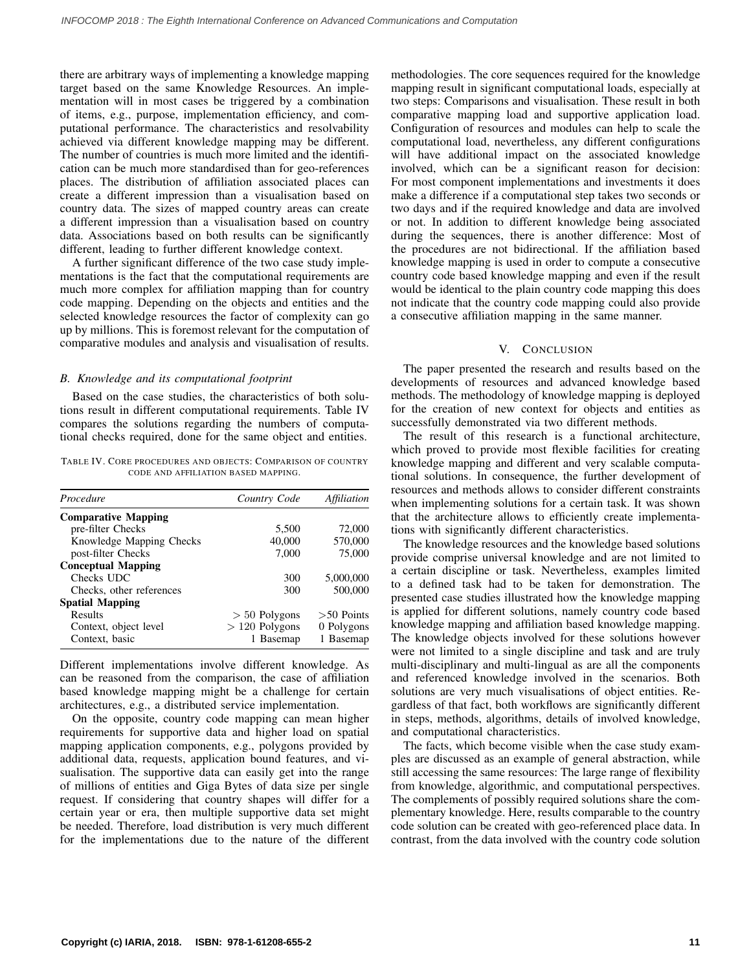there are arbitrary ways of implementing a knowledge mapping target based on the same Knowledge Resources. An implementation will in most cases be triggered by a combination of items, e.g., purpose, implementation efficiency, and computational performance. The characteristics and resolvability achieved via different knowledge mapping may be different. The number of countries is much more limited and the identification can be much more standardised than for geo-references places. The distribution of affiliation associated places can create a different impression than a visualisation based on country data. The sizes of mapped country areas can create a different impression than a visualisation based on country data. Associations based on both results can be significantly different, leading to further different knowledge context.

A further significant difference of the two case study implementations is the fact that the computational requirements are much more complex for affiliation mapping than for country code mapping. Depending on the objects and entities and the selected knowledge resources the factor of complexity can go up by millions. This is foremost relevant for the computation of comparative modules and analysis and visualisation of results.

#### *B. Knowledge and its computational footprint*

Based on the case studies, the characteristics of both solutions result in different computational requirements. Table [IV](#page-4-0) compares the solutions regarding the numbers of computational checks required, done for the same object and entities.

<span id="page-4-0"></span>TABLE IV. CORE PROCEDURES AND OBJECTS: COMPARISON OF COUNTRY CODE AND AFFILIATION BASED MAPPING.

| Procedure                  | Country Code    | Affiliation  |
|----------------------------|-----------------|--------------|
| <b>Comparative Mapping</b> |                 |              |
| pre-filter Checks          | 5,500           | 72,000       |
| Knowledge Mapping Checks   | 40,000          | 570,000      |
| post-filter Checks         | 7,000           | 75,000       |
| <b>Conceptual Mapping</b>  |                 |              |
| Checks UDC                 | 300             | 5,000,000    |
| Checks, other references   | 300             | 500,000      |
| <b>Spatial Mapping</b>     |                 |              |
| Results                    | $> 50$ Polygons | $>50$ Points |
| Context, object level      | $>120$ Polygons | 0 Polygons   |
| Context, basic             | 1 Basemap       | 1 Basemap    |

Different implementations involve different knowledge. As can be reasoned from the comparison, the case of affiliation based knowledge mapping might be a challenge for certain architectures, e.g., a distributed service implementation.

On the opposite, country code mapping can mean higher requirements for supportive data and higher load on spatial mapping application components, e.g., polygons provided by additional data, requests, application bound features, and visualisation. The supportive data can easily get into the range of millions of entities and Giga Bytes of data size per single request. If considering that country shapes will differ for a certain year or era, then multiple supportive data set might be needed. Therefore, load distribution is very much different for the implementations due to the nature of the different methodologies. The core sequences required for the knowledge mapping result in significant computational loads, especially at two steps: Comparisons and visualisation. These result in both comparative mapping load and supportive application load. Configuration of resources and modules can help to scale the computational load, nevertheless, any different configurations will have additional impact on the associated knowledge involved, which can be a significant reason for decision: For most component implementations and investments it does make a difference if a computational step takes two seconds or two days and if the required knowledge and data are involved or not. In addition to different knowledge being associated during the sequences, there is another difference: Most of the procedures are not bidirectional. If the affiliation based knowledge mapping is used in order to compute a consecutive country code based knowledge mapping and even if the result would be identical to the plain country code mapping this does not indicate that the country code mapping could also provide a consecutive affiliation mapping in the same manner.

#### V. CONCLUSION

The paper presented the research and results based on the developments of resources and advanced knowledge based methods. The methodology of knowledge mapping is deployed for the creation of new context for objects and entities as successfully demonstrated via two different methods.

The result of this research is a functional architecture, which proved to provide most flexible facilities for creating knowledge mapping and different and very scalable computational solutions. In consequence, the further development of resources and methods allows to consider different constraints when implementing solutions for a certain task. It was shown that the architecture allows to efficiently create implementations with significantly different characteristics.

The knowledge resources and the knowledge based solutions provide comprise universal knowledge and are not limited to a certain discipline or task. Nevertheless, examples limited to a defined task had to be taken for demonstration. The presented case studies illustrated how the knowledge mapping is applied for different solutions, namely country code based knowledge mapping and affiliation based knowledge mapping. The knowledge objects involved for these solutions however were not limited to a single discipline and task and are truly multi-disciplinary and multi-lingual as are all the components and referenced knowledge involved in the scenarios. Both solutions are very much visualisations of object entities. Regardless of that fact, both workflows are significantly different in steps, methods, algorithms, details of involved knowledge, and computational characteristics.

The facts, which become visible when the case study examples are discussed as an example of general abstraction, while still accessing the same resources: The large range of flexibility from knowledge, algorithmic, and computational perspectives. The complements of possibly required solutions share the complementary knowledge. Here, results comparable to the country code solution can be created with geo-referenced place data. In contrast, from the data involved with the country code solution